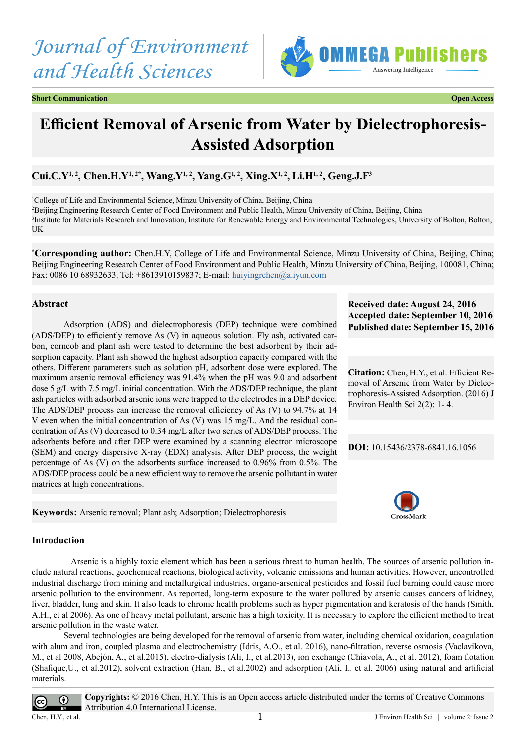# *Journal of Environment and Health Sciences*



**Short Communication Communication Communication Communication Communication Communication Communication** 

## **Efficient Removal of Arsenic from Water by Dielectrophoresis-Assisted Adsorption**

### **Cui.C.Y1, 2, Chen.H.Y1, 2\*, Wang.Y1, 2, Yang.G1, 2, Xing.X1, 2, Li.H1, 2, Geng.J.F3**

<sup>1</sup>College of Life and Environmental Science, Minzu University of China, Beijing, China 2 Beijing Engineering Research Center of Food Environment and Public Health, Minzu University of China, Beijing, China 3 Institute for Materials Research and Innovation, Institute for Renewable Energy and Environmental Technologies, University of Bolton, Bolton, UK

**\* Corresponding author:** Chen.H.Y, College of Life and Environmental Science, Minzu University of China, Beijing, China; Beijing Engineering Research Center of Food Environment and Public Health, Minzu University of China, Beijing, 100081, China; Fax: 0086 10 68932633; Tel: +8613910159837; E-mail: [huiyingrchen@aliyun.com](mailto:huiyingrchen@aliyun.com)

#### **Abstract**

Adsorption (ADS) and dielectrophoresis (DEP) technique were combined (ADS/DEP) to efficiently remove As (V) in aqueous solution. Fly ash, activated carbon, corncob and plant ash were tested to determine the best adsorbent by their adsorption capacity. Plant ash showed the highest adsorption capacity compared with the others. Different parameters such as solution pH, adsorbent dose were explored. The maximum arsenic removal efficiency was 91.4% when the pH was 9.0 and adsorbent dose 5 g/L with 7.5 mg/L initial concentration. With the ADS/DEP technique, the plant ash particles with adsorbed arsenic ions were trapped to the electrodes in a DEP device. The ADS/DEP process can increase the removal efficiency of As (V) to 94.7% at 14 V even when the initial concentration of As (V) was 15 mg/L. And the residual concentration of As (V) decreased to 0.34 mg/L after two series of ADS/DEP process. The adsorbents before and after DEP were examined by a scanning electron microscope (SEM) and energy dispersive X-ray (EDX) analysis. After DEP process, the weight percentage of As (V) on the adsorbents surface increased to 0.96% from 0.5%. The ADS/DEP process could be a new efficient way to remove the arsenic pollutant in water matrices at high concentrations.

**Keywords:** Arsenic removal; Plant ash; Adsorption; Dielectrophoresis

#### **Received date: August 24, 2016 Accepted date: September 10, 2016 Published date: September 15, 2016**

**Citation:** Chen, H.Y., et al. Efficient Removal of Arsenic from Water by Dielectrophoresis-Assisted Adsorption. (2016) J Environ Health Sci 2(2): 1- 4.

**DOI:** [10.15436/2378-6841.16.](http://www.dx.doi.org/10.15436/2378-6841.16.1056
)1056



#### **Introduction**

 Arsenic is a highly toxic element which has been a serious threat to human health. The sources of arsenic pollution include natural reactions, geochemical reactions, biological activity, volcanic emissions and human activities. However, uncontrolled industrial discharge from mining and metallurgical industries, organo-arsenical pesticides and fossil fuel burning could cause more arsenic pollution to the environment. As reported, long-term exposure to the water polluted by arsenic causes cancers of kidney, liver, bladder, lung and skin. It also leads to chronic health problems such as hyper pigmentation and keratosis of the hands (Smith, A.H., et al 2006). As one of heavy metal pollutant, arsenic has a high toxicity. It is necessary to explore the efficient method to treat arsenic pollution in the waste water.

Several technologies are being developed for the removal of arsenic from water, including chemical oxidation, coagulation with alum and iron, coupled plasma and electrochemistry (Idris, A.O., et al. 2016), nano-filtration, reverse osmosis (Vaclavikova, M., et al 2008, Abejón, A., et al.2015), electro-dialysis (Ali, I., et al.2013), ion exchange (Chiavola, A., et al. 2012), foam flotation (Shafique,U., et al.2012), solvent extraction (Han, B., et al.2002) and adsorption (Ali, I., et al. 2006) using natural and artificial materials.



**Copyrights:** © 2016 Chen, H.Y. This is an Open access article distributed under the terms of Creative Commons Attribution 4.0 International License.

 $Chen, H.Y., et al.$  1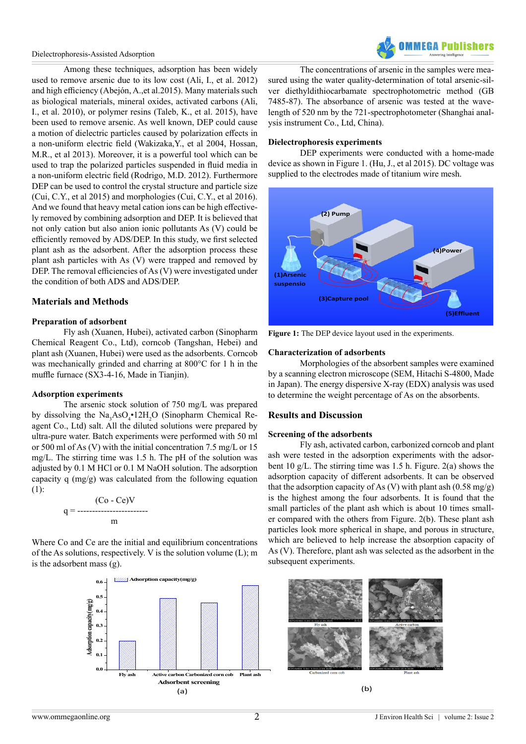#### Dielectrophoresis-Assisted Adsorption

Among these techniques, adsorption has been widely used to remove arsenic due to its low cost (Ali, I., et al. 2012) and high efficiency (Abejón, A.,et al.2015). Many materials such as biological materials, mineral oxides, activated carbons (Ali, I., et al. 2010), or polymer resins (Taleb, K., et al. 2015), have been used to remove arsenic. As well known, DEP could cause a motion of dielectric particles caused by polarization effects in a non-uniform electric field (Wakizaka,Y., et al 2004, Hossan, M.R., et al 2013). Moreover, it is a powerful tool which can be used to trap the polarized particles suspended in fluid media in a non-uniform electric field (Rodrigo, M.D. 2012). Furthermore DEP can be used to control the crystal structure and particle size (Cui, C.Y., et al 2015) and morphologies (Cui, C.Y., et al 2016). And we found that heavy metal cation ions can be high effectively removed by combining adsorption and DEP. It is believed that not only cation but also anion ionic pollutants As (V) could be efficiently removed by ADS/DEP. In this study, we first selected plant ash as the adsorbent. After the adsorption process these plant ash particles with As (V) were trapped and removed by DEP. The removal efficiencies of As (V) were investigated under the condition of both ADS and ADS/DEP.

#### **Materials and Methods**

#### **Preparation of adsorbent**

Fly ash (Xuanen, Hubei), activated carbon (Sinopharm Chemical Reagent Co., Ltd), corncob (Tangshan, Hebei) and plant ash (Xuanen, Hubei) were used as the adsorbents. Corncob was mechanically grinded and charring at 800°C for 1 h in the muffle furnace (SX3-4-16, Made in Tianjin).

#### **Adsorption experiments**

The arsenic stock solution of 750 mg/L was prepared by dissolving the  $\text{Na}_3\text{AsO}_4^{\bullet}12\text{H}_2\text{O}$  (Sinopharm Chemical Reagent Co., Ltd) salt. All the diluted solutions were prepared by ultra-pure water. Batch experiments were performed with 50 ml or 500 ml of As (V) with the initial concentration 7.5 mg/L or 15 mg/L. The stirring time was 1.5 h. The pH of the solution was adjusted by 0.1 M HCl or 0.1 M NaOH solution. The adsorption capacity q (mg/g) was calculated from the following equation (1):

$$
q = \frac{(\text{Co} - \text{Ce})V}{m}
$$

Where Co and Ce are the initial and equilibrium concentrations of the As solutions, respectively. V is the solution volume (L); m is the adsorbent mass (g).



The concentrations of arsenic in the samples were measured using the water quality-determination of total arsenic-silver diethyldithiocarbamate spectrophotometric method (GB 7485-87). The absorbance of arsenic was tested at the wavelength of 520 nm by the 721-spectrophotometer (Shanghai analysis instrument Co., Ltd, China).

#### **Dielectrophoresis experiments**

DEP experiments were conducted with a home-made device as shown in Figure 1. (Hu, J., et al 2015). DC voltage was supplied to the electrodes made of titanium wire mesh.



**Figure 1:** The DEP device layout used in the experiments.

#### **Characterization of adsorbents**

Morphologies of the absorbent samples were examined by a scanning electron microscope (SEM, Hitachi S-4800, Made in Japan). The energy dispersive X-ray (EDX) analysis was used to determine the weight percentage of As on the absorbents.

#### **Results and Discussion**

#### **Screening of the adsorbents**

Fly ash, activated carbon, carbonized corncob and plant ash were tested in the adsorption experiments with the adsorbent 10 g/L. The stirring time was 1.5 h. Figure. 2(a) shows the adsorption capacity of different adsorbents. It can be observed that the adsorption capacity of As (V) with plant ash (0.58 mg/g) is the highest among the four adsorbents. It is found that the small particles of the plant ash which is about 10 times smaller compared with the others from Figure. 2(b). These plant ash particles look more spherical in shape, and porous in structure, which are believed to help increase the absorption capacity of As (V). Therefore, plant ash was selected as the adsorbent in the subsequent experiments.

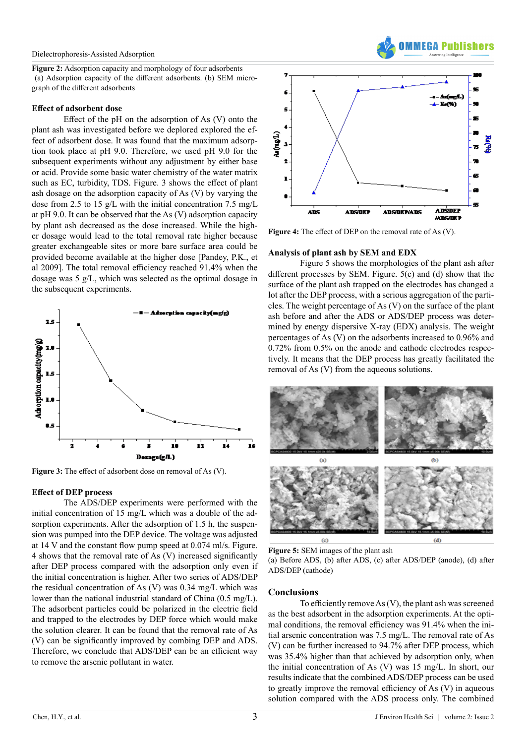**Figure 2:** Adsorption capacity and morphology of four adsorbents (a) Adsorption capacity of the different adsorbents. (b) SEM micrograph of the different adsorbents

#### **Effect of adsorbent dose**

Effect of the pH on the adsorption of As (V) onto the plant ash was investigated before we deplored explored the effect of adsorbent dose. It was found that the maximum adsorption took place at pH 9.0. Therefore, we used pH 9.0 for the subsequent experiments without any adjustment by either base or acid. Provide some basic water chemistry of the water matrix such as EC, turbidity, TDS. Figure. 3 shows the effect of plant ash dosage on the adsorption capacity of As (V) by varying the dose from 2.5 to 15 g/L with the initial concentration 7.5 mg/L at pH 9.0. It can be observed that the As (V) adsorption capacity by plant ash decreased as the dose increased. While the higher dosage would lead to the total removal rate higher because greater exchangeable sites or more bare surface area could be provided become available at the higher dose [Pandey, P.K., et al 2009]. The total removal efficiency reached 91.4% when the dosage was 5 g/L, which was selected as the optimal dosage in the subsequent experiments.



**Figure 3:** The effect of adsorbent dose on removal of As (V).

#### **Effect of DEP process**

The ADS/DEP experiments were performed with the initial concentration of 15 mg/L which was a double of the adsorption experiments. After the adsorption of 1.5 h, the suspension was pumped into the DEP device. The voltage was adjusted at 14 V and the constant flow pump speed at 0.074 ml/s. Figure. 4 shows that the removal rate of As (V) increased significantly after DEP process compared with the adsorption only even if the initial concentration is higher. After two series of ADS/DEP the residual concentration of As (V) was 0.34 mg/L which was lower than the national industrial standard of China (0.5 mg/L). The adsorbent particles could be polarized in the electric field and trapped to the electrodes by DEP force which would make the solution clearer. It can be found that the removal rate of As (V) can be significantly improved by combing DEP and ADS. Therefore, we conclude that ADS/DEP can be an efficient way to remove the arsenic pollutant in water.



**AFAA Puhlish** 

**Figure 4:** The effect of DEP on the removal rate of As (V).

#### **Analysis of plant ash by SEM and EDX**

Figure 5 shows the morphologies of the plant ash after different processes by SEM. Figure. 5(c) and (d) show that the surface of the plant ash trapped on the electrodes has changed a lot after the DEP process, with a serious aggregation of the particles. The weight percentage of As (V) on the surface of the plant ash before and after the ADS or ADS/DEP process was determined by energy dispersive X-ray (EDX) analysis. The weight percentages of As (V) on the adsorbents increased to 0.96% and 0.72% from 0.5% on the anode and cathode electrodes respectively. It means that the DEP process has greatly facilitated the removal of As (V) from the aqueous solutions.



**Figure 5:** SEM images of the plant ash

(a) Before ADS, (b) after ADS, (c) after ADS/DEP (anode), (d) after ADS/DEP (cathode)

#### **Conclusions**

To efficiently remove As (V), the plant ash was screened as the best adsorbent in the adsorption experiments. At the optimal conditions, the removal efficiency was 91.4% when the initial arsenic concentration was 7.5 mg/L. The removal rate of As (V) can be further increased to 94.7% after DEP process, which was 35.4% higher than that achieved by adsorption only, when the initial concentration of As (V) was 15 mg/L. In short, our results indicate that the combined ADS/DEP process can be used to greatly improve the removal efficiency of As (V) in aqueous solution compared with the ADS process only. The combined